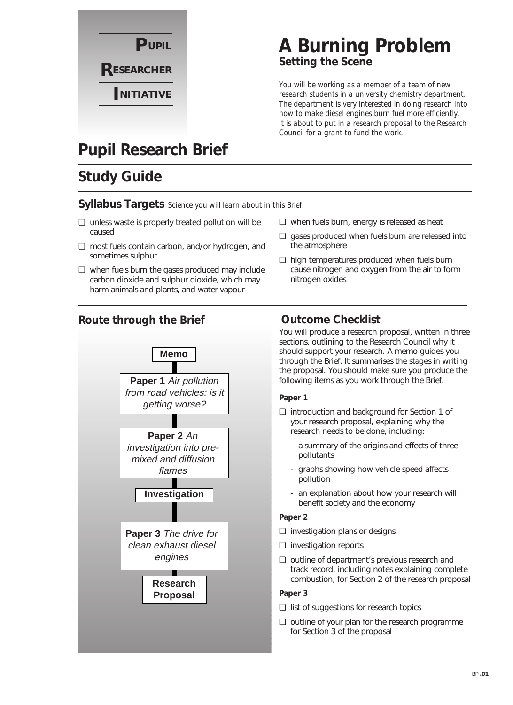

## **A Burning Problem Setting the Scene**

*You will be working as a member of a team of new research students in a university chemistry department. The department is very interested in doing research into how to make diesel engines burn fuel more efficiently. It is about to put in a research proposal to the Research Council for a grant to fund the work.*

## **Pupil Research Brief**

## **Study Guide**

#### **Syllabus Targets** *Science you will learn about in this Brief*

- ❏ unless waste is properly treated pollution will be caused
- ❏ most fuels contain carbon, and/or hydrogen, and sometimes sulphur
- ❏ when fuels burn the gases produced may include carbon dioxide and sulphur dioxide, which may harm animals and plants, and water vapour
- ❏ when fuels burn, energy is released as heat
- ❏ gases produced when fuels burn are released into the atmosphere
- ❏ high temperatures produced when fuels burn cause nitrogen and oxygen from the air to form nitrogen oxides

#### **Route through the Brief**



#### **Outcome Checklist**

You will produce a research proposal, written in three sections, outlining to the Research Council why it should support your research. A memo guides you through the Brief. It summarises the stages in writing the proposal. You should make sure you produce the following items as you work through the Brief.

#### **Paper 1**

- ❏ introduction and background for Section 1 of your research proposal, explaining why the research needs to be done, including:
	- a summary of the origins and effects of three pollutants
	- graphs showing how vehicle speed affects pollution
	- an explanation about how your research will benefit society and the economy

#### **Paper 2**

- ❏ investigation plans or designs
- ❏ investigation reports
- ❏ outline of department's previous research and track record, including notes explaining complete combustion, for Section 2 of the research proposal

#### **Paper 3**

- ❏ list of suggestions for research topics
- ❏ outline of your plan for the research programme for Section 3 of the proposal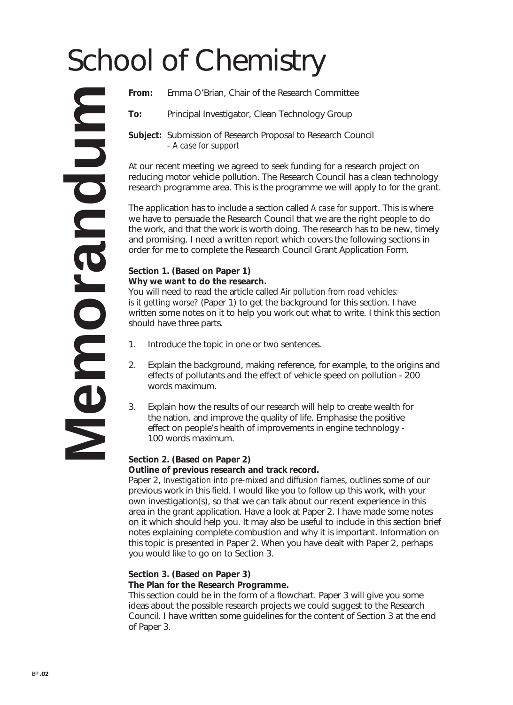# School of Chemistry

**From:** Emma O'Brian, Chair of the Research Committee

**To:** Principal Investigator, Clean Technology Group

**Subject:** Submission of Research Proposal to Research Council - *A case for support*

At our recent meeting we agreed to seek funding for a research project on reducing motor vehicle pollution. The Research Council has a clean technology research programme area. This is the programme we will apply to for the grant.

The application has to include a section called *A case for support*. This is where we have to persuade the Research Council that we are the right people to do the work, and that the work is worth doing. The research has to be new, timely and promising. I need a written report which covers the following sections in order for me to complete the Research Council Grant Application Form.

#### **Section 1. (Based on Paper 1) Why we want to do the research.**

You will need to read the article called *Air pollution from road vehicles: is it getting worse?* (Paper 1) to get the background for this section. I have written some notes on it to help you work out what to write. I think this section should have three parts.

- 1. Introduce the topic in one or two sentences.
- 2. Explain the background, making reference, for example, to the origins and effects of pollutants and the effect of vehicle speed on pollution - 200 words maximum.
- 3. Explain how the results of our research will help to create wealth for the nation, and improve the quality of life. Emphasise the positive effect on people's health of improvements in engine technology - 100 words maximum.

#### **Section 2. (Based on Paper 2)**

#### **Outline of previous research and track record.**

Paper 2, *Investigation into pre-mixed and diffusion flames*, outlines some of our previous work in this field. I would like you to follow up this work, with your own investigation(s), so that we can talk about our recent experience in this area in the grant application. Have a look at Paper 2. I have made some notes on it which should help you. It may also be useful to include in this section brief notes explaining complete combustion and why it is important. Information on this topic is presented in Paper 2. When you have dealt with Paper 2, perhaps you would like to go on to Section 3.

#### **Section 3. (Based on Paper 3)**

#### **The Plan for the Research Programme.**

This section could be in the form of a flowchart. Paper 3 will give you some ideas about the possible research projects we could suggest to the Research Council. I have written some guidelines for the content of Section 3 at the end of Paper 3.

**Memorandum MINDUS10** E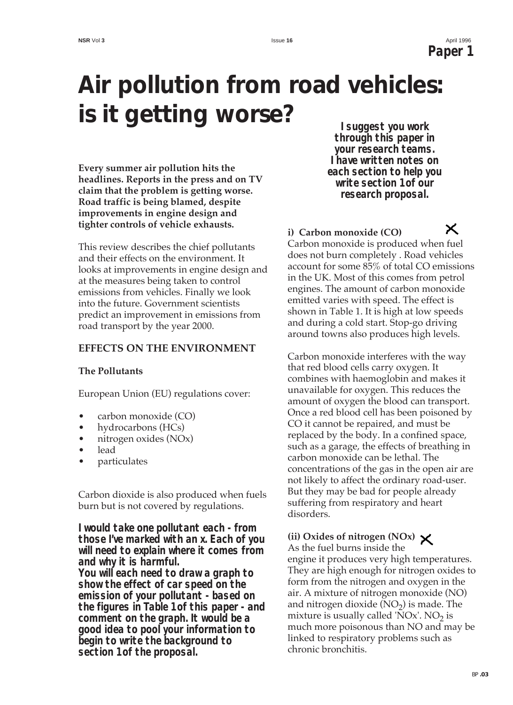**NSR** Vol **3** Issue **16** April 1996 **Paper 1**

X

## **Air pollution from road vehicles: is it getting worse?**

**Every summer air pollution hits the headlines. Reports in the press and on TV claim that the problem is getting worse. Road traffic is being blamed, despite improvements in engine design and tighter controls of vehicle exhausts.**

This review describes the chief pollutants and their effects on the environment. It looks at improvements in engine design and at the measures being taken to control emissions from vehicles. Finally we look into the future. Government scientists predict an improvement in emissions from road transport by the year 2000.

#### **EFFECTS ON THE ENVIRONMENT**

#### **The Pollutants**

European Union (EU) regulations cover:

- carbon monoxide (CO)
- hydrocarbons (HCs)
- nitrogen oxides (NOx)
- lead
- particulates

Carbon dioxide is also produced when fuels burn but is not covered by regulations.

**I would take one pollutant each - from those I've marked with an x. Each of you will need to explain where it comes from and why it is harmful. You will each need to draw a graph to**

**show the effect of car speed on the emission of your pollutant - based on the figures in Table 1 of this paper - and comment on the graph. It would be a good idea to pool your information to begin to write the background to section 1 of the proposal.**

**I suggest you work through this paper in your research teams. I have written notes on each section to help you write section 1 of our research proposal.**

#### **i) Carbon monoxide (CO)**

Carbon monoxide is produced when fuel does not burn completely . Road vehicles account for some 85% of total CO emissions in the UK. Most of this comes from petrol engines. The amount of carbon monoxide emitted varies with speed. The effect is shown in Table 1. It is high at low speeds and during a cold start. Stop-go driving around towns also produces high levels.

Carbon monoxide interferes with the way that red blood cells carry oxygen. It combines with haemoglobin and makes it unavailable for oxygen. This reduces the amount of oxygen the blood can transport. Once a red blood cell has been poisoned by CO it cannot be repaired, and must be replaced by the body. In a confined space, such as a garage, the effects of breathing in carbon monoxide can be lethal. The concentrations of the gas in the open air are not likely to affect the ordinary road-user. But they may be bad for people already suffering from respiratory and heart disorders.

#### **(ii) Oxides of nitrogen (NOx)**

As the fuel burns inside the engine it produces very high temperatures. They are high enough for nitrogen oxides to form from the nitrogen and oxygen in the air. A mixture of nitrogen monoxide (NO) and nitrogen dioxide  $(NO<sub>2</sub>)$  is made. The mixture is usually called 'NOx'. NO<sub>2</sub> is much more poisonous than NO and may be linked to respiratory problems such as chronic bronchitis.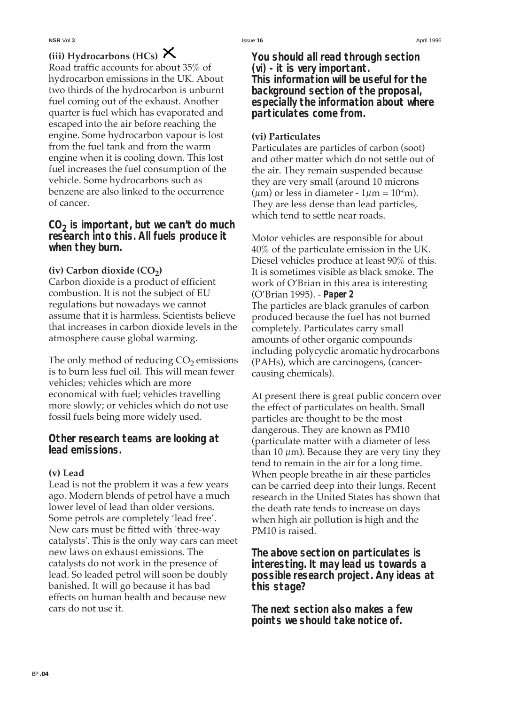### **(iii) Hydrocarbons (HCs)**

Road traffic accounts for about 35% of hydrocarbon emissions in the UK. About two thirds of the hydrocarbon is unburnt fuel coming out of the exhaust. Another quarter is fuel which has evaporated and escaped into the air before reaching the engine. Some hydrocarbon vapour is lost from the fuel tank and from the warm engine when it is cooling down. This lost fuel increases the fuel consumption of the vehicle. Some hydrocarbons such as benzene are also linked to the occurrence of cancer.

**CO2 is important, but we can't do much research into this. All fuels produce it when they burn.**

#### (iv) Carbon dioxide (CO<sub>2</sub>)

Carbon dioxide is a product of efficient combustion. It is not the subject of EU regulations but nowadays we cannot assume that it is harmless. Scientists believe that increases in carbon dioxide levels in the atmosphere cause global warming.

The only method of reducing  $CO<sub>2</sub>$  emissions is to burn less fuel oil. This will mean fewer vehicles; vehicles which are more economical with fuel; vehicles travelling more slowly; or vehicles which do not use fossil fuels being more widely used.

**Other research teams are looking at lead emissions.**

#### **(v) Lead**

Lead is not the problem it was a few years ago. Modern blends of petrol have a much lower level of lead than older versions. Some petrols are completely 'lead free'. New cars must be fitted with 'three-way catalysts'. This is the only way cars can meet new laws on exhaust emissions. The catalysts do not work in the presence of lead. So leaded petrol will soon be doubly banished. It will go because it has bad effects on human health and because new cars do not use it.

**You should all read through section (vi) - it is very important. This information will be useful for the background section of the proposal, especially the information about where particulates come from.**

#### **(vi) Particulates**

Particulates are particles of carbon (soot) and other matter which do not settle out of the air. They remain suspended because they are very small (around 10 microns ( $\mu$ m) or less in diameter - 1 $\mu$ m = 10<sup>-6</sup>m). They are less dense than lead particles, which tend to settle near roads.

Motor vehicles are responsible for about 40% of the particulate emission in the UK. Diesel vehicles produce at least 90% of this. It is sometimes visible as black smoke. The work of O'Brian in this area is interesting (O'Brian 1995). - **Paper 2** The particles are black granules of carbon produced because the fuel has not burned completely. Particulates carry small amounts of other organic compounds including polycyclic aromatic hydrocarbons (PAHs), which are carcinogens, (cancercausing chemicals).

At present there is great public concern over the effect of particulates on health. Small particles are thought to be the most dangerous. They are known as PM10 (particulate matter with a diameter of less than 10  $\mu$ m). Because they are very tiny they tend to remain in the air for a long time. When people breathe in air these particles can be carried deep into their lungs. Recent research in the United States has shown that the death rate tends to increase on days when high air pollution is high and the PM10 is raised.

**The above section on particulates is interesting. It may lead us towards a possible research project. Any ideas at this stage?**

**The next section also makes a few points we should take notice of.**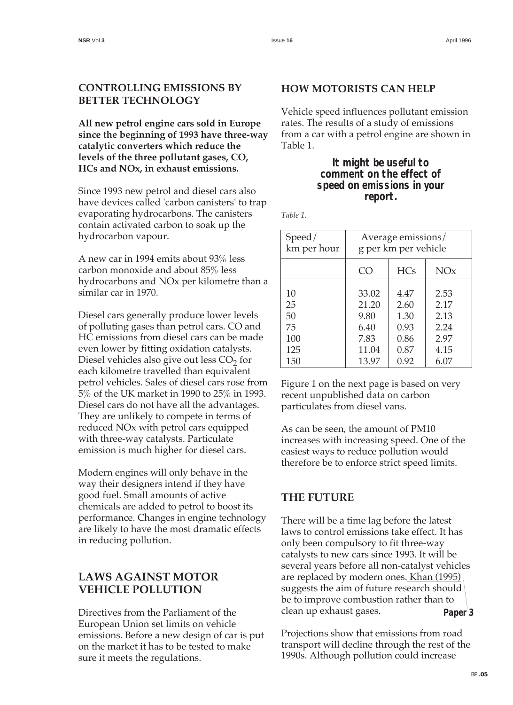#### **CONTROLLING EMISSIONS BY BETTER TECHNOLOGY**

**All new petrol engine cars sold in Europe since the beginning of 1993 have three-way catalytic converters which reduce the levels of the three pollutant gases, CO, HCs and NOx, in exhaust emissions.**

Since 1993 new petrol and diesel cars also have devices called 'carbon canisters' to trap evaporating hydrocarbons. The canisters contain activated carbon to soak up the hydrocarbon vapour.

A new car in 1994 emits about 93% less carbon monoxide and about 85% less hydrocarbons and NOx per kilometre than a similar car in 1970.

Diesel cars generally produce lower levels of polluting gases than petrol cars. CO and HC emissions from diesel cars can be made even lower by fitting oxidation catalysts. Diesel vehicles also give out less  $CO<sub>2</sub>$  for each kilometre travelled than equivalent petrol vehicles. Sales of diesel cars rose from 5% of the UK market in 1990 to 25% in 1993. Diesel cars do not have all the advantages. They are unlikely to compete in terms of reduced NOx with petrol cars equipped with three-way catalysts. Particulate emission is much higher for diesel cars.

Modern engines will only behave in the way their designers intend if they have good fuel. Small amounts of active chemicals are added to petrol to boost its performance. Changes in engine technology are likely to have the most dramatic effects in reducing pollution.

#### **LAWS AGAINST MOTOR VEHICLE POLLUTION**

Directives from the Parliament of the European Union set limits on vehicle emissions. Before a new design of car is put on the market it has to be tested to make sure it meets the regulations.

#### **HOW MOTORISTS CAN HELP**

Vehicle speed influences pollutant emission rates. The results of a study of emissions from a car with a petrol engine are shown in Table 1.

#### **It might be useful to comment on the effect of speed on emissions in your report.**

*Table 1.* 

| Speed/      | Average emissions/   |            |                 |
|-------------|----------------------|------------|-----------------|
| km per hour | g per km per vehicle |            |                 |
|             | CO                   | <b>HCs</b> | NO <sub>x</sub> |
| 10          | 33.02                | 4.47       | 2.53            |
| 25          | 21.20                | 2.60       | 2.17            |
| 50          | 9.80                 | 1.30       | 2.13            |
| 75          | 6.40                 | 0.93       | 2.24            |
| 100         | 7.83                 | 0.86       | 2.97            |
| 125         | 11.04                | 0.87       | 4.15            |
| 150         | 13.97                | 0.92       | 6.07            |

Figure 1 on the next page is based on very recent unpublished data on carbon particulates from diesel vans.

As can be seen, the amount of PM10 increases with increasing speed. One of the easiest ways to reduce pollution would therefore be to enforce strict speed limits.

#### **THE FUTURE**

There will be a time lag before the latest laws to control emissions take effect. It has only been compulsory to fit three-way catalysts to new cars since 1993. It will be several years before all non-catalyst vehicles are replaced by modern ones. Khan (1995) suggests the aim of future research should be to improve combustion rather than to clean up exhaust gases. **Paper 3** 

Projections show that emissions from road transport will decline through the rest of the 1990s. Although pollution could increase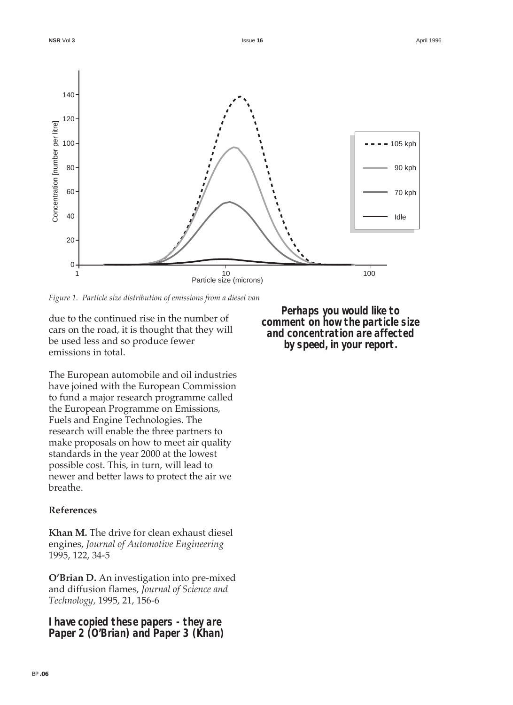

*Figure 1. Particle size distribution of emissions from a diesel van*

due to the continued rise in the number of cars on the road, it is thought that they will be used less and so produce fewer emissions in total.

The European automobile and oil industries have joined with the European Commission to fund a major research programme called the European Programme on Emissions, Fuels and Engine Technologies. The research will enable the three partners to make proposals on how to meet air quality standards in the year 2000 at the lowest possible cost. This, in turn, will lead to newer and better laws to protect the air we breathe.

#### **References**

**Khan M.** The drive for clean exhaust diesel engines, *Journal of Automotive Engineering* 1995, 122, 34-5

**O'Brian D.** An investigation into pre-mixed and diffusion flames, *Journal of Science and Technology,* 1995, 21, 156-6

**I have copied these papers - they are Paper 2 (O'Brian) and Paper 3 (Khan)**

**Perhaps you would like to comment on how the particle size and concentration are affected by speed, in your report.**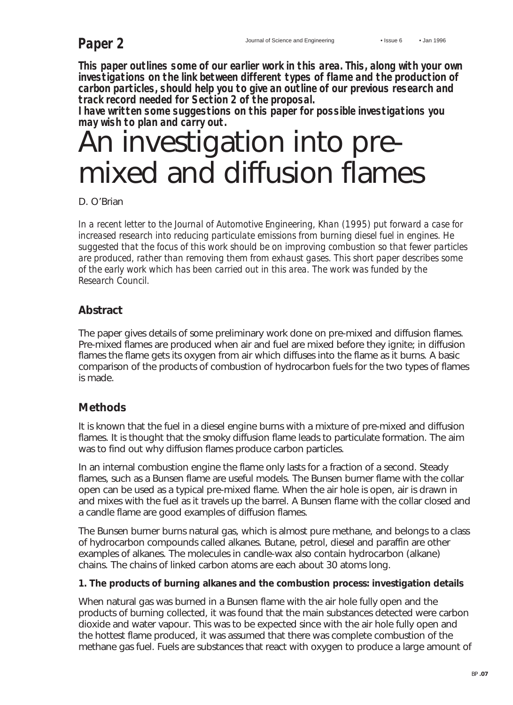**This paper outlines some of our earlier work in this area. This, along with your own investigations on the link between different types of flame and the production of carbon particles, should help you to give an outline of our previous research and track record needed for Section 2 of the proposal.**

**I have written some suggestions on this paper for possible investigations you may wish to plan and carry out.**

## An investigation into premixed and diffusion flames

D. O'Brian

*In a recent letter to the Journal of Automotive Engineering, Khan (1995) put forward a case for increased research into reducing particulate emissions from burning diesel fuel in engines. He suggested that the focus of this work should be on improving combustion so that fewer particles are produced, rather than removing them from exhaust gases. This short paper describes some of the early work which has been carried out in this area. The work was funded by the Research Council.*

#### **Abstract**

The paper gives details of some preliminary work done on pre-mixed and diffusion flames. Pre-mixed flames are produced when air and fuel are mixed before they ignite; in diffusion flames the flame gets its oxygen from air which diffuses into the flame as it burns. A basic comparison of the products of combustion of hydrocarbon fuels for the two types of flames is made.

#### **Methods**

It is known that the fuel in a diesel engine burns with a mixture of pre-mixed and diffusion flames. It is thought that the smoky diffusion flame leads to particulate formation. The aim was to find out why diffusion flames produce carbon particles.

In an internal combustion engine the flame only lasts for a fraction of a second. Steady flames, such as a Bunsen flame are useful models. The Bunsen burner flame with the collar open can be used as a typical pre-mixed flame. When the air hole is open, air is drawn in and mixes with the fuel as it travels up the barrel. A Bunsen flame with the collar closed and a candle flame are good examples of diffusion flames.

The Bunsen burner burns natural gas, which is almost pure methane, and belongs to a class of hydrocarbon compounds called alkanes. Butane, petrol, diesel and paraffin are other examples of alkanes. The molecules in candle-wax also contain hydrocarbon (alkane) chains. The chains of linked carbon atoms are each about 30 atoms long.

#### **1. The products of burning alkanes and the combustion process: investigation details**

When natural gas was burned in a Bunsen flame with the air hole fully open and the products of burning collected, it was found that the main substances detected were carbon dioxide and water vapour. This was to be expected since with the air hole fully open and the hottest flame produced, it was assumed that there was complete combustion of the methane gas fuel. Fuels are substances that react with oxygen to produce a large amount of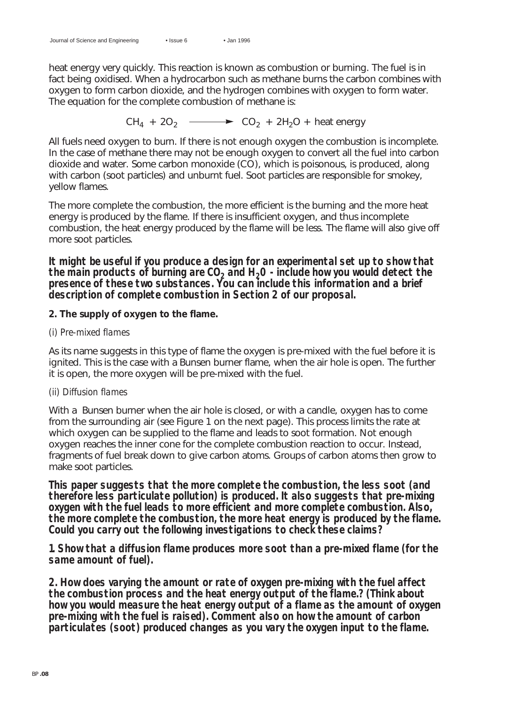heat energy very quickly. This reaction is known as combustion or burning. The fuel is in fact being oxidised. When a hydrocarbon such as methane burns the carbon combines with oxygen to form carbon dioxide, and the hydrogen combines with oxygen to form water. The equation for the complete combustion of methane is:

 $CH_4 + 2O_2 \longrightarrow CO_2 + 2H_2O +$  heat energy

All fuels need oxygen to burn. If there is not enough oxygen the combustion is incomplete. In the case of methane there may not be enough oxygen to convert all the fuel into carbon dioxide and water. Some carbon monoxide (CO), which is poisonous, is produced, along with carbon (soot particles) and unburnt fuel. Soot particles are responsible for smokey, yellow flames.

The more complete the combustion, the more efficient is the burning and the more heat energy is produced by the flame. If there is insufficient oxygen, and thus incomplete combustion, the heat energy produced by the flame will be less. The flame will also give off more soot particles.

**It might be useful if you produce a design for an experimental set up to show that** the main products of burning are  $CO<sub>2</sub>$  and  $H<sub>2</sub>O$  - include how you would detect the **presence of these two substances. You can include this information and a brief description of complete combustion in Section 2 of our proposal.**

#### **2. The supply of oxygen to the flame.**

#### *(i) Pre-mixed flames*

As its name suggests in this type of flame the oxygen is pre-mixed with the fuel before it is ignited. This is the case with a Bunsen burner flame, when the air hole is open. The further it is open, the more oxygen will be pre-mixed with the fuel.

#### *(ii) Diffusion flames*

With a Bunsen burner when the air hole is closed, or with a candle, oxygen has to come from the surrounding air (see Figure 1 on the next page). This process limits the rate at which oxygen can be supplied to the flame and leads to soot formation. Not enough oxygen reaches the inner cone for the complete combustion reaction to occur. Instead, fragments of fuel break down to give carbon atoms. Groups of carbon atoms then grow to make soot particles.

**This paper suggests that the more complete the combustion, the less soot (and therefore less particulate pollution) is produced. It also suggests that pre-mixing oxygen with the fuel leads to more efficient and more complete combustion. Also, the more complete the combustion, the more heat energy is produced by the flame. Could you carry out the following investigations to check these claims?**

**1. Show that a diffusion flame produces more soot than a pre-mixed flame (for the same amount of fuel).**

**2. How does varying the amount or rate of oxygen pre-mixing with the fuel affect the combustion process and the heat energy output of the flame.? (Think about how you would measure the heat energy output of a flame as the amount of oxygen pre-mixing with the fuel is raised). Comment also on how the amount of carbon particulates (soot) produced changes as you vary the oxygen input to the flame.**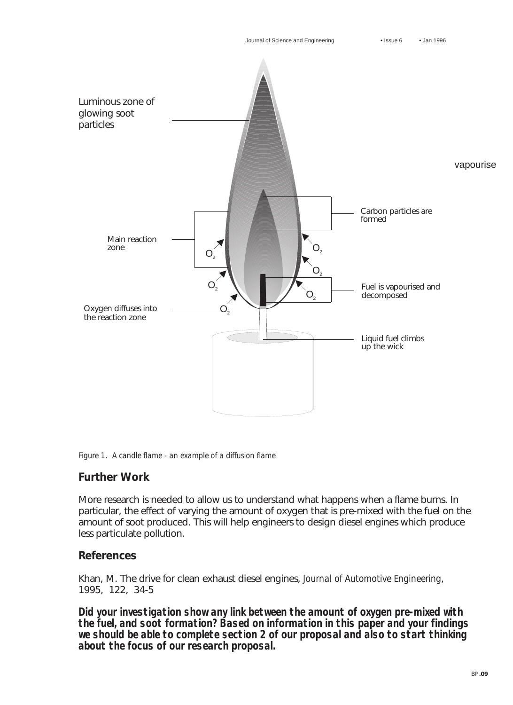

*Figure 1. A candle flame - an example of a diffusion flame*

#### **Further Work**

More research is needed to allow us to understand what happens when a flame burns. In particular, the effect of varying the amount of oxygen that is pre-mixed with the fuel on the amount of soot produced. This will help engineers to design diesel engines which produce less particulate pollution.

#### **References**

Khan, M. The drive for clean exhaust diesel engines, *Journal of Automotive Engineering,* 1995, 122, 34-5

**Did your investigation show any link between the amount of oxygen pre-mixed with the fuel, and soot formation? Based on information in this paper and your findings we should be able to complete section 2 of our proposal and also to start thinking about the focus of our research proposal.**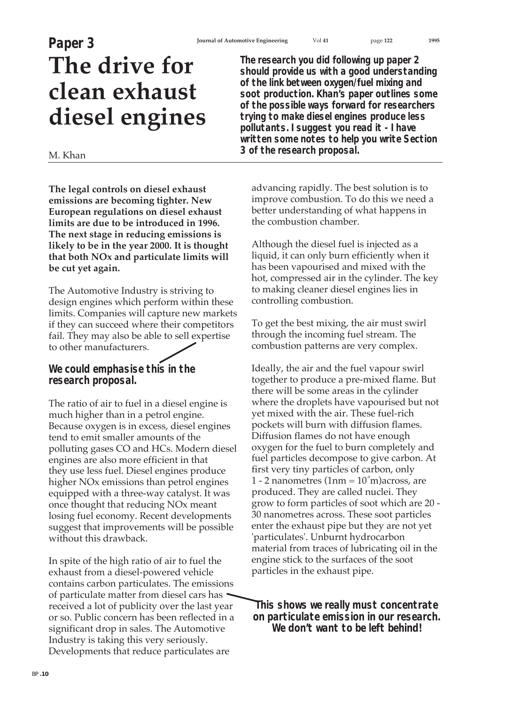### **Paper 3**

## **The drive for clean exhaust diesel engines**

#### M. Khan

**The legal controls on diesel exhaust emissions are becoming tighter. New European regulations on diesel exhaust limits are due to be introduced in 1996. The next stage in reducing emissions is likely to be in the year 2000. It is thought that both NOx and particulate limits will be cut yet again.**

The Automotive Industry is striving to design engines which perform within these limits. Companies will capture new markets if they can succeed where their competitors fail. They may also be able to sell expertise to other manufacturers.

**We could emphasise this in the research proposal.**

The ratio of air to fuel in a diesel engine is much higher than in a petrol engine. Because oxygen is in excess, diesel engines tend to emit smaller amounts of the polluting gases CO and HCs. Modern diesel engines are also more efficient in that they use less fuel. Diesel engines produce higher NOx emissions than petrol engines equipped with a three-way catalyst. It was once thought that reducing NOx meant losing fuel economy. Recent developments suggest that improvements will be possible without this drawback.

In spite of the high ratio of air to fuel the exhaust from a diesel-powered vehicle contains carbon particulates. The emissions of particulate matter from diesel cars has received a lot of publicity over the last year or so. Public concern has been reflected in a significant drop in sales. The Automotive Industry is taking this very seriously. Developments that reduce particulates are

**The research you did following up paper 2 should provide us with a good understanding of the link between oxygen/fuel mixing and soot production. Khan's paper outlines some of the possible ways forward for researchers trying to make diesel engines produce less pollutants. I suggest you read it - I have written some notes to help you write Section 3 of the research proposal.**

advancing rapidly. The best solution is to improve combustion. To do this we need a better understanding of what happens in the combustion chamber.

Although the diesel fuel is injected as a liquid, it can only burn efficiently when it has been vapourised and mixed with the hot, compressed air in the cylinder. The key to making cleaner diesel engines lies in controlling combustion.

To get the best mixing, the air must swirl through the incoming fuel stream. The combustion patterns are very complex.

Ideally, the air and the fuel vapour swirl together to produce a pre-mixed flame. But there will be some areas in the cylinder where the droplets have vapourised but not yet mixed with the air. These fuel-rich pockets will burn with diffusion flames. Diffusion flames do not have enough oxygen for the fuel to burn completely and fuel particles decompose to give carbon. At first very tiny particles of carbon, only 1 - 2 nanometres  $(1nm = 10<sup>3</sup>m)$ across, are produced. They are called nuclei. They grow to form particles of soot which are 20 - 30 nanometres across. These soot particles enter the exhaust pipe but they are not yet 'particulates'. Unburnt hydrocarbon material from traces of lubricating oil in the engine stick to the surfaces of the soot particles in the exhaust pipe.

**This shows we really must concentrate on particulate emission in our research. We don't want to be left behind!**